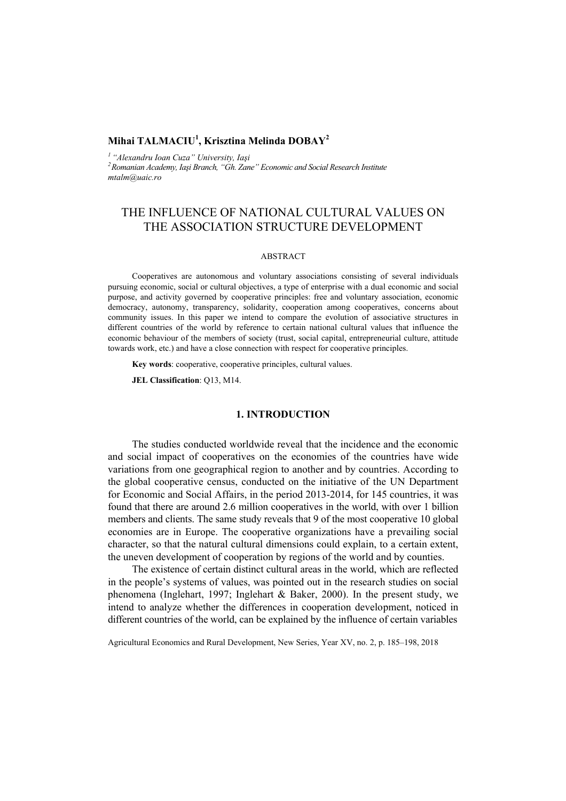## **Mihai TALMACIU<sup>1</sup> , Krisztina Melinda DOBAY<sup>2</sup>**

*1 "Alexandru Ioan Cuza" University, Iaşi 2 Romanian Academy, Iaşi Branch, "Gh. Zane" Economic and Social Research Institute mtalm@uaic.ro* 

## THE INFLUENCE OF NATIONAL CULTURAL VALUES ON THE ASSOCIATION STRUCTURE DEVELOPMENT

### ABSTRACT

Cooperatives are autonomous and voluntary associations consisting of several individuals pursuing economic, social or cultural objectives, a type of enterprise with a dual economic and social purpose, and activity governed by cooperative principles: free and voluntary association, economic democracy, autonomy, transparency, solidarity, cooperation among cooperatives, concerns about community issues. In this paper we intend to compare the evolution of associative structures in different countries of the world by reference to certain national cultural values that influence the economic behaviour of the members of society (trust, social capital, entrepreneurial culture, attitude towards work, etc.) and have a close connection with respect for cooperative principles.

**Key words**: cooperative, cooperative principles, cultural values.

**JEL Classification**: Q13, M14.

### **1. INTRODUCTION**

The studies conducted worldwide reveal that the incidence and the economic and social impact of cooperatives on the economies of the countries have wide variations from one geographical region to another and by countries. According to the global cooperative census, conducted on the initiative of the UN Department for Economic and Social Affairs, in the period 2013-2014, for 145 countries, it was found that there are around 2.6 million cooperatives in the world, with over 1 billion members and clients. The same study reveals that 9 of the most cooperative 10 global economies are in Europe. The cooperative organizations have a prevailing social character, so that the natural cultural dimensions could explain, to a certain extent, the uneven development of cooperation by regions of the world and by counties.

The existence of certain distinct cultural areas in the world, which are reflected in the people's systems of values, was pointed out in the research studies on social phenomena (Inglehart, 1997; Inglehart & Baker, 2000). In the present study, we intend to analyze whether the differences in cooperation development, noticed in different countries of the world, can be explained by the influence of certain variables

Agricultural Economics and Rural Development, New Series, Year XV, no. 2, p. 185–198, 2018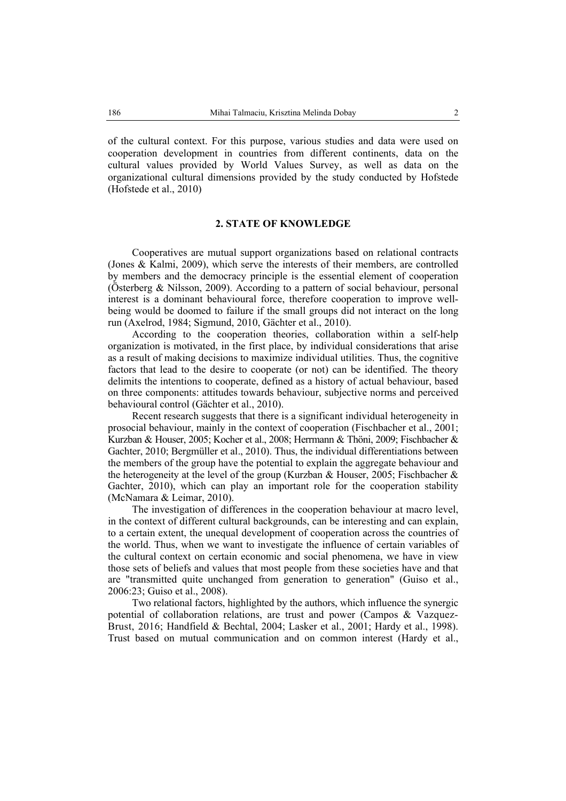of the cultural context. For this purpose, various studies and data were used on cooperation development in countries from different continents, data on the cultural values provided by World Values Survey, as well as data on the organizational cultural dimensions provided by the study conducted by Hofstede (Hofstede et al., 2010)

#### **2. STATE OF KNOWLEDGE**

Cooperatives are mutual support organizations based on relational contracts (Jones & Kalmi, 2009), which serve the interests of their members, are controlled by members and the democracy principle is the essential element of cooperation (Österberg & Nilsson, 2009). According to a pattern of social behaviour, personal interest is a dominant behavioural force, therefore cooperation to improve wellbeing would be doomed to failure if the small groups did not interact on the long run (Axelrod, 1984; Sigmund, 2010, Gächter et al., 2010).

According to the cooperation theories, collaboration within a self-help organization is motivated, in the first place, by individual considerations that arise as a result of making decisions to maximize individual utilities. Thus, the cognitive factors that lead to the desire to cooperate (or not) can be identified. The theory delimits the intentions to cooperate, defined as a history of actual behaviour, based on three components: attitudes towards behaviour, subjective norms and perceived behavioural control (Gächter et al., 2010).

Recent research suggests that there is a significant individual heterogeneity in prosocial behaviour, mainly in the context of cooperation (Fischbacher et al., 2001; Kurzban & Houser, 2005; Kocher et al., 2008; Herrmann & Thöni, 2009; Fischbacher & Gachter, 2010; Bergmüller et al., 2010). Thus, the individual differentiations between the members of the group have the potential to explain the aggregate behaviour and the heterogeneity at the level of the group (Kurzban  $\&$  Houser, 2005; Fischbacher  $\&$ Gachter, 2010), which can play an important role for the cooperation stability (McNamara & Leimar, 2010).

The investigation of differences in the cooperation behaviour at macro level, in the context of different cultural backgrounds, can be interesting and can explain, to a certain extent, the unequal development of cooperation across the countries of the world. Thus, when we want to investigate the influence of certain variables of the cultural context on certain economic and social phenomena, we have in view those sets of beliefs and values that most people from these societies have and that are "transmitted quite unchanged from generation to generation" (Guiso et al., 2006:23; Guiso et al., 2008).

Two relational factors, highlighted by the authors, which influence the synergic potential of collaboration relations, are trust and power (Campos & Vazquez-Brust, 2016; Handfield & Bechtal, 2004; Lasker et al., 2001; Hardy et al., 1998). Trust based on mutual communication and on common interest (Hardy et al.,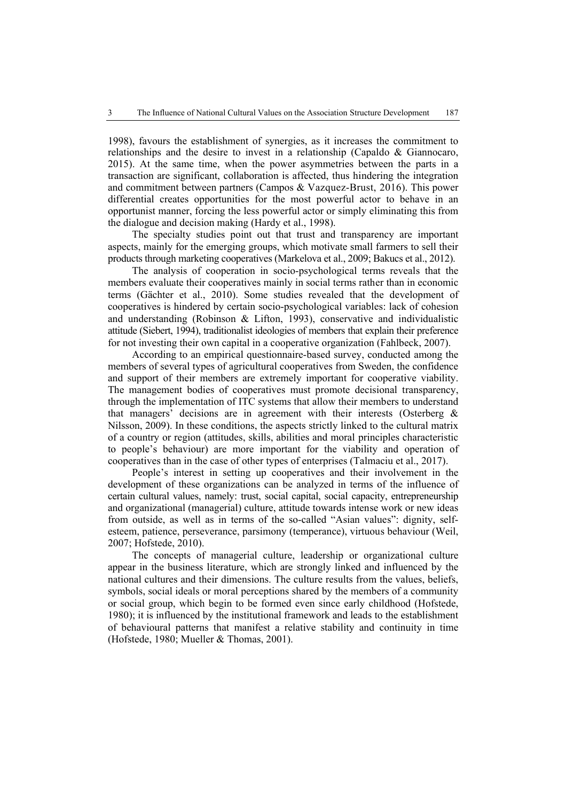1998), favours the establishment of synergies, as it increases the commitment to relationships and the desire to invest in a relationship (Capaldo & Giannocaro, 2015). At the same time, when the power asymmetries between the parts in a transaction are significant, collaboration is affected, thus hindering the integration and commitment between partners (Campos & Vazquez-Brust, 2016). This power differential creates opportunities for the most powerful actor to behave in an opportunist manner, forcing the less powerful actor or simply eliminating this from the dialogue and decision making (Hardy et al., 1998).

The specialty studies point out that trust and transparency are important aspects, mainly for the emerging groups, which motivate small farmers to sell their products through marketing cooperatives (Markelova et al., 2009; Bakucs et al., 2012).

The analysis of cooperation in socio-psychological terms reveals that the members evaluate their cooperatives mainly in social terms rather than in economic terms (Gächter et al., 2010). Some studies revealed that the development of cooperatives is hindered by certain socio-psychological variables: lack of cohesion and understanding (Robinson & Lifton, 1993), conservative and individualistic attitude (Siebert, 1994), traditionalist ideologies of members that explain their preference for not investing their own capital in a cooperative organization (Fahlbeck, 2007).

According to an empirical questionnaire-based survey, conducted among the members of several types of agricultural cooperatives from Sweden, the confidence and support of their members are extremely important for cooperative viability. The management bodies of cooperatives must promote decisional transparency, through the implementation of ITC systems that allow their members to understand that managers' decisions are in agreement with their interests (Osterberg  $\&$ Nilsson, 2009). In these conditions, the aspects strictly linked to the cultural matrix of a country or region (attitudes, skills, abilities and moral principles characteristic to people's behaviour) are more important for the viability and operation of cooperatives than in the case of other types of enterprises (Talmaciu et al., 2017).

People's interest in setting up cooperatives and their involvement in the development of these organizations can be analyzed in terms of the influence of certain cultural values, namely: trust, social capital, social capacity, entrepreneurship and organizational (managerial) culture, attitude towards intense work or new ideas from outside, as well as in terms of the so-called "Asian values": dignity, selfesteem, patience, perseverance, parsimony (temperance), virtuous behaviour (Weil, 2007; Hofstede, 2010).

The concepts of managerial culture, leadership or organizational culture appear in the business literature, which are strongly linked and influenced by the national cultures and their dimensions. The culture results from the values, beliefs, symbols, social ideals or moral perceptions shared by the members of a community or social group, which begin to be formed even since early childhood (Hofstede, 1980); it is influenced by the institutional framework and leads to the establishment of behavioural patterns that manifest a relative stability and continuity in time (Hofstede, 1980; Mueller & Thomas, 2001).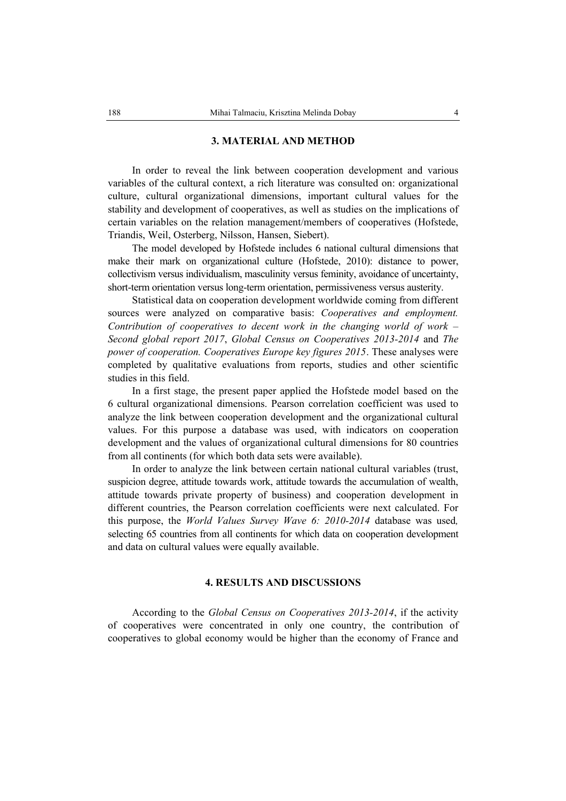#### **3. MATERIAL AND METHOD**

In order to reveal the link between cooperation development and various variables of the cultural context, a rich literature was consulted on: organizational culture, cultural organizational dimensions, important cultural values for the stability and development of cooperatives, as well as studies on the implications of certain variables on the relation management/members of cooperatives (Hofstede, Triandis, Weil, Osterberg, Nilsson, Hansen, Siebert).

The model developed by Hofstede includes 6 national cultural dimensions that make their mark on organizational culture (Hofstede, 2010): distance to power, collectivism versus individualism, masculinity versus feminity, avoidance of uncertainty, short-term orientation versus long-term orientation, permissiveness versus austerity.

Statistical data on cooperation development worldwide coming from different sources were analyzed on comparative basis: *Cooperatives and employment. Contribution of cooperatives to decent work in the changing world of work – Second global report 2017*, *Global Census on Cooperatives 2013-2014* and *The power of cooperation. Cooperatives Europe key figures 2015*. These analyses were completed by qualitative evaluations from reports, studies and other scientific studies in this field.

In a first stage, the present paper applied the Hofstede model based on the 6 cultural organizational dimensions. Pearson correlation coefficient was used to analyze the link between cooperation development and the organizational cultural values. For this purpose a database was used, with indicators on cooperation development and the values of organizational cultural dimensions for 80 countries from all continents (for which both data sets were available).

In order to analyze the link between certain national cultural variables (trust, suspicion degree, attitude towards work, attitude towards the accumulation of wealth, attitude towards private property of business) and cooperation development in different countries, the Pearson correlation coefficients were next calculated. For this purpose, the *World Values Survey Wave 6: 2010-2014* database was used*,*  selecting 65 countries from all continents for which data on cooperation development and data on cultural values were equally available.

#### **4. RESULTS AND DISCUSSIONS**

According to the *Global Census on Cooperatives 2013-2014*, if the activity of cooperatives were concentrated in only one country, the contribution of cooperatives to global economy would be higher than the economy of France and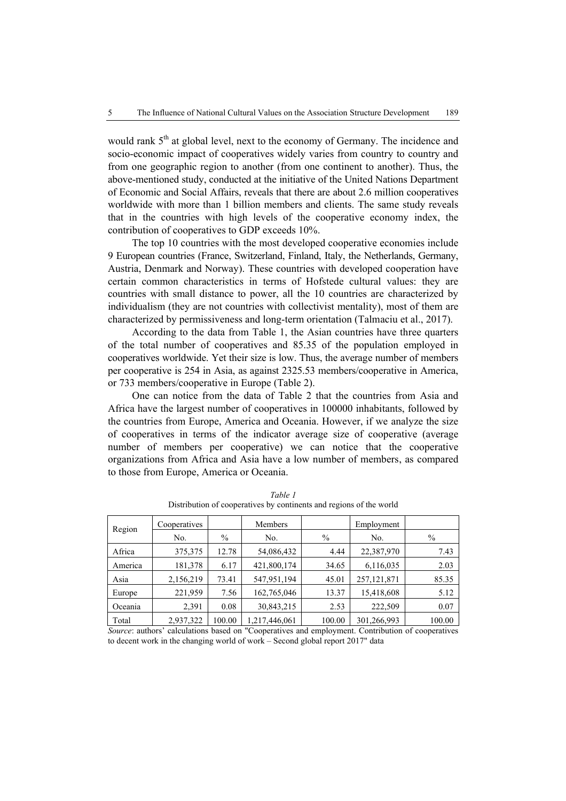would rank  $5<sup>th</sup>$  at global level, next to the economy of Germany. The incidence and socio-economic impact of cooperatives widely varies from country to country and from one geographic region to another (from one continent to another). Thus, the above-mentioned study, conducted at the initiative of the United Nations Department of Economic and Social Affairs, reveals that there are about 2.6 million cooperatives worldwide with more than 1 billion members and clients. The same study reveals that in the countries with high levels of the cooperative economy index, the contribution of cooperatives to GDP exceeds 10%.

The top 10 countries with the most developed cooperative economies include 9 European countries (France, Switzerland, Finland, Italy, the Netherlands, Germany, Austria, Denmark and Norway). These countries with developed cooperation have certain common characteristics in terms of Hofstede cultural values: they are countries with small distance to power, all the 10 countries are characterized by individualism (they are not countries with collectivist mentality), most of them are characterized by permissiveness and long-term orientation (Talmaciu et al., 2017).

According to the data from Table 1, the Asian countries have three quarters of the total number of cooperatives and 85.35 of the population employed in cooperatives worldwide. Yet their size is low. Thus, the average number of members per cooperative is 254 in Asia, as against 2325.53 members/cooperative in America, or 733 members/cooperative in Europe (Table 2).

One can notice from the data of Table 2 that the countries from Asia and Africa have the largest number of cooperatives in 100000 inhabitants, followed by the countries from Europe, America and Oceania. However, if we analyze the size of cooperatives in terms of the indicator average size of cooperative (average number of members per cooperative) we can notice that the cooperative organizations from Africa and Asia have a low number of members, as compared to those from Europe, America or Oceania.

| Region  | Cooperatives |               | Members       |        | Employment    |        |
|---------|--------------|---------------|---------------|--------|---------------|--------|
|         | No.          | $\frac{0}{0}$ | No.           | $\%$   | No.           | $\%$   |
| Africa  | 375,375      | 12.78         | 54,086,432    | 4.44   | 22,387,970    | 7.43   |
| America | 181,378      | 6.17          | 421,800,174   | 34.65  | 6,116,035     | 2.03   |
| Asia    | 2,156,219    | 73.41         | 547,951,194   | 45.01  | 257, 121, 871 | 85.35  |
| Europe  | 221,959      | 7.56          | 162,765,046   | 13.37  | 15,418,608    | 5.12   |
| Oceania | 2,391        | 0.08          | 30,843,215    | 2.53   | 222,509       | 0.07   |
| Total   | 2,937,322    | 100.00        | 1,217,446,061 | 100.00 | 301,266,993   | 100.00 |

*Table 1*  Distribution of cooperatives by continents and regions of the world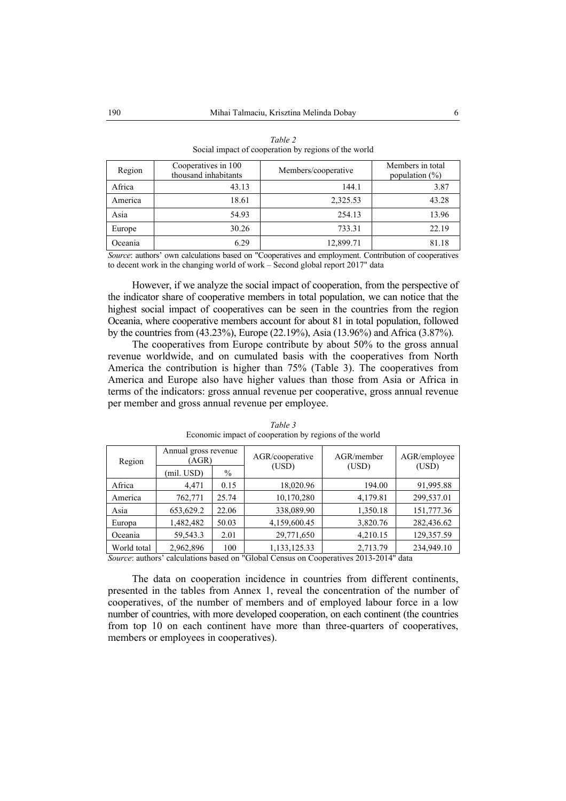| Region  | Cooperatives in 100<br>thousand inhabitants | Members/cooperative | Members in total<br>population $(\%)$ |
|---------|---------------------------------------------|---------------------|---------------------------------------|
| Africa  | 43.13                                       | 144.1               | 3.87                                  |
| America | 18.61                                       | 2,325.53            | 43.28                                 |
| Asia    | 54.93                                       | 254.13              | 13.96                                 |
| Europe  | 30.26                                       | 733.31              | 22.19                                 |
| Oceania | 6.29                                        | 12,899.71           | 81.18                                 |

| Table 2                                              |
|------------------------------------------------------|
| Social impact of cooperation by regions of the world |

*Source*: authors' own calculations based on "Cooperatives and employment. Contribution of cooperatives to decent work in the changing world of work – Second global report 2017" data

However, if we analyze the social impact of cooperation, from the perspective of the indicator share of cooperative members in total population, we can notice that the highest social impact of cooperatives can be seen in the countries from the region Oceania, where cooperative members account for about 81 in total population, followed by the countries from (43.23%), Europe (22.19%), Asia (13.96%) and Africa (3.87%).

The cooperatives from Europe contribute by about 50% to the gross annual revenue worldwide, and on cumulated basis with the cooperatives from North America the contribution is higher than 75% (Table 3). The cooperatives from America and Europe also have higher values than those from Asia or Africa in terms of the indicators: gross annual revenue per cooperative, gross annual revenue per member and gross annual revenue per employee.

| Region      | Annual gross revenue<br>(AGR) |       | AGR/cooperative | AGR/member | AGR/employee |
|-------------|-------------------------------|-------|-----------------|------------|--------------|
|             | (mil. USD)                    | $\%$  | (USD)           | (USD)      | (USD)        |
| Africa      | 4,471                         | 0.15  | 18,020.96       | 194.00     | 91,995.88    |
| America     | 762,771                       | 25.74 | 10,170,280      | 4,179.81   | 299,537.01   |
| Asia        | 653,629.2                     | 22.06 | 338,089.90      | 1,350.18   | 151,777.36   |
| Europa      | 1,482,482                     | 50.03 | 4,159,600.45    | 3,820.76   | 282,436.62   |
| Oceania     | 59,543.3                      | 2.01  | 29,771,650      | 4,210.15   | 129,357.59   |
| World total | 2,962,896                     | 100   | 1,133,125.33    | 2,713.79   | 234,949.10   |

#### *Table 3*  Economic impact of cooperation by regions of the world

*Source*: authors' calculations based on "Global Census on Cooperatives 2013-2014" data

The data on cooperation incidence in countries from different continents, presented in the tables from Annex 1, reveal the concentration of the number of cooperatives, of the number of members and of employed labour force in a low number of countries, with more developed cooperation, on each continent (the countries from top 10 on each continent have more than three-quarters of cooperatives, members or employees in cooperatives).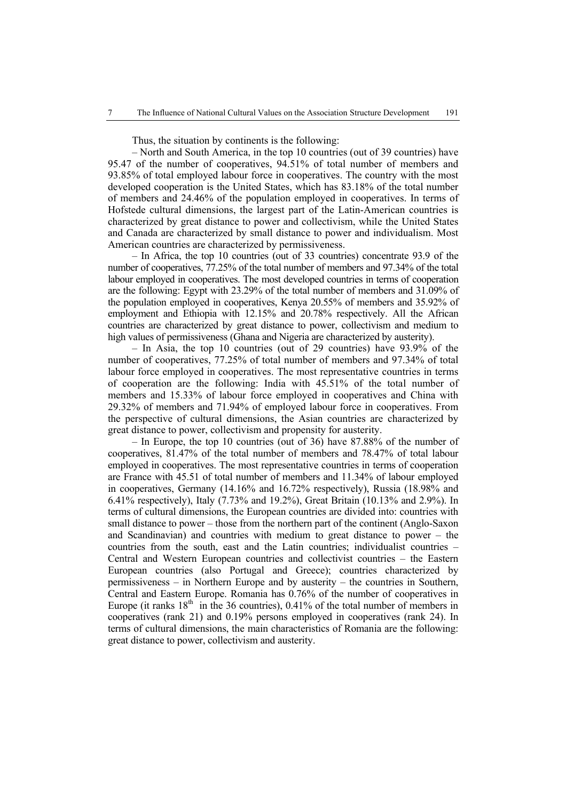Thus, the situation by continents is the following:

– North and South America, in the top 10 countries (out of 39 countries) have 95.47 of the number of cooperatives, 94.51% of total number of members and 93.85% of total employed labour force in cooperatives. The country with the most developed cooperation is the United States, which has 83.18% of the total number of members and 24.46% of the population employed in cooperatives. In terms of Hofstede cultural dimensions, the largest part of the Latin-American countries is characterized by great distance to power and collectivism, while the United States and Canada are characterized by small distance to power and individualism. Most American countries are characterized by permissiveness.

– In Africa, the top 10 countries (out of 33 countries) concentrate 93.9 of the number of cooperatives, 77.25% of the total number of members and 97.34% of the total labour employed in cooperatives. The most developed countries in terms of cooperation are the following: Egypt with 23.29% of the total number of members and 31.09% of the population employed in cooperatives, Kenya 20.55% of members and 35.92% of employment and Ethiopia with 12.15% and 20.78% respectively. All the African countries are characterized by great distance to power, collectivism and medium to high values of permissiveness (Ghana and Nigeria are characterized by austerity).

– In Asia, the top 10 countries (out of 29 countries) have 93.9% of the number of cooperatives, 77.25% of total number of members and 97.34% of total labour force employed in cooperatives. The most representative countries in terms of cooperation are the following: India with 45.51% of the total number of members and 15.33% of labour force employed in cooperatives and China with 29.32% of members and 71.94% of employed labour force in cooperatives. From the perspective of cultural dimensions, the Asian countries are characterized by great distance to power, collectivism and propensity for austerity.

– In Europe, the top 10 countries (out of 36) have 87.88% of the number of cooperatives, 81.47% of the total number of members and 78.47% of total labour employed in cooperatives. The most representative countries in terms of cooperation are France with 45.51 of total number of members and 11.34% of labour employed in cooperatives, Germany (14.16% and 16.72% respectively), Russia (18.98% and 6.41% respectively), Italy (7.73% and 19.2%), Great Britain (10.13% and 2.9%). In terms of cultural dimensions, the European countries are divided into: countries with small distance to power – those from the northern part of the continent (Anglo-Saxon and Scandinavian) and countries with medium to great distance to power – the countries from the south, east and the Latin countries; individualist countries – Central and Western European countries and collectivist countries – the Eastern European countries (also Portugal and Greece); countries characterized by permissiveness – in Northern Europe and by austerity – the countries in Southern, Central and Eastern Europe. Romania has 0.76% of the number of cooperatives in Europe (it ranks  $18<sup>th</sup>$  in the 36 countries), 0.41% of the total number of members in cooperatives (rank 21) and 0.19% persons employed in cooperatives (rank 24). In terms of cultural dimensions, the main characteristics of Romania are the following: great distance to power, collectivism and austerity.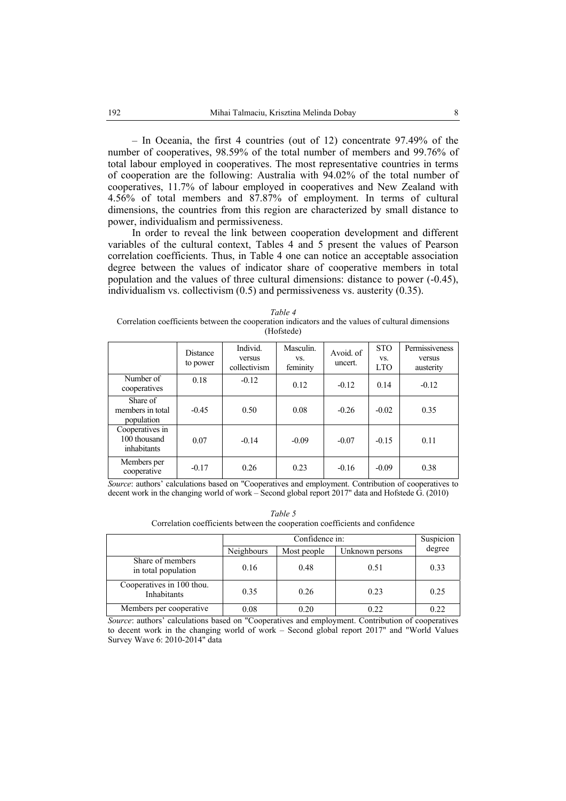– In Oceania, the first 4 countries (out of 12) concentrate 97.49% of the number of cooperatives, 98.59% of the total number of members and 99.76% of total labour employed in cooperatives. The most representative countries in terms of cooperation are the following: Australia with 94.02% of the total number of cooperatives, 11.7% of labour employed in cooperatives and New Zealand with 4.56% of total members and 87.87% of employment. In terms of cultural dimensions, the countries from this region are characterized by small distance to power, individualism and permissiveness.

In order to reveal the link between cooperation development and different variables of the cultural context, Tables 4 and 5 present the values of Pearson correlation coefficients. Thus, in Table 4 one can notice an acceptable association degree between the values of indicator share of cooperative members in total population and the values of three cultural dimensions: distance to power (-0.45), individualism vs. collectivism (0.5) and permissiveness vs. austerity (0.35).

*Table 4*  Correlation coefficients between the cooperation indicators and the values of cultural dimensions (Hofstede)

|                                                | Distance<br>to power | Individ.<br>versus<br>collectivism | Masculin.<br>VS.<br>feminity | Avoid. of<br>uncert. | <b>STO</b><br>VS.<br><b>LTO</b> | Permissiveness<br>versus<br>austerity |
|------------------------------------------------|----------------------|------------------------------------|------------------------------|----------------------|---------------------------------|---------------------------------------|
| Number of<br>cooperatives                      | 0.18                 | $-0.12$                            | 0.12                         | $-0.12$              | 0.14                            | $-0.12$                               |
| Share of<br>members in total<br>population     | $-0.45$              | 0.50                               | 0.08                         | $-0.26$              | $-0.02$                         | 0.35                                  |
| Cooperatives in<br>100 thousand<br>inhabitants | 0.07                 | $-0.14$                            | $-0.09$                      | $-0.07$              | $-0.15$                         | 0.11                                  |
| Members per<br>cooperative                     | $-0.17$              | 0.26                               | 0.23                         | $-0.16$              | $-0.09$<br>$\sim$ $\sim$        | 0.38                                  |

*Source*: authors' calculations based on "Cooperatives and employment. Contribution of cooperatives to decent work in the changing world of work – Second global report 2017" data and Hofstede G. (2010)

| Table 5                                                                      |
|------------------------------------------------------------------------------|
| Correlation coefficients between the cooperation coefficients and confidence |

|                                          |                   | Suspicion<br>Confidence in: |                 |        |  |  |  |
|------------------------------------------|-------------------|-----------------------------|-----------------|--------|--|--|--|
|                                          | <b>Neighbours</b> | Most people                 | Unknown persons | degree |  |  |  |
| Share of members<br>in total population  | 0.16              | 0.48                        | 0.51            | 0.33   |  |  |  |
| Cooperatives in 100 thou.<br>Inhabitants | 0.35              | 0.26                        | 0.23            | 0.25   |  |  |  |
| Members per cooperative.                 | 0.08              | 0.20                        | 0.22            | 0.22   |  |  |  |

*Source*: authors' calculations based on "Cooperatives and employment. Contribution of cooperatives to decent work in the changing world of work – Second global report 2017" and "World Values Survey Wave 6: 2010-2014" data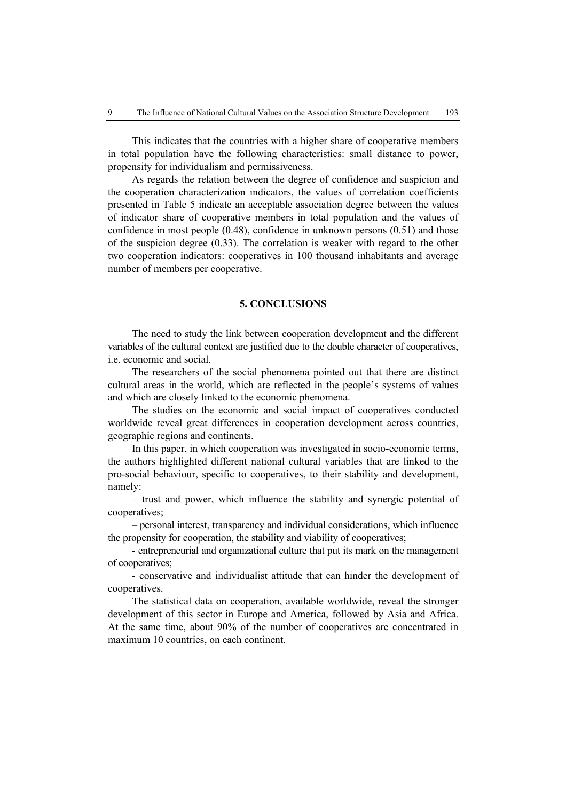This indicates that the countries with a higher share of cooperative members in total population have the following characteristics: small distance to power, propensity for individualism and permissiveness.

As regards the relation between the degree of confidence and suspicion and the cooperation characterization indicators, the values of correlation coefficients presented in Table 5 indicate an acceptable association degree between the values of indicator share of cooperative members in total population and the values of confidence in most people (0.48), confidence in unknown persons (0.51) and those of the suspicion degree (0.33). The correlation is weaker with regard to the other two cooperation indicators: cooperatives in 100 thousand inhabitants and average number of members per cooperative.

#### **5. CONCLUSIONS**

The need to study the link between cooperation development and the different variables of the cultural context are justified due to the double character of cooperatives, i.e. economic and social.

The researchers of the social phenomena pointed out that there are distinct cultural areas in the world, which are reflected in the people's systems of values and which are closely linked to the economic phenomena.

The studies on the economic and social impact of cooperatives conducted worldwide reveal great differences in cooperation development across countries, geographic regions and continents.

In this paper, in which cooperation was investigated in socio-economic terms, the authors highlighted different national cultural variables that are linked to the pro-social behaviour, specific to cooperatives, to their stability and development, namely:

– trust and power, which influence the stability and synergic potential of cooperatives;

– personal interest, transparency and individual considerations, which influence the propensity for cooperation, the stability and viability of cooperatives;

- entrepreneurial and organizational culture that put its mark on the management of cooperatives;

- conservative and individualist attitude that can hinder the development of cooperatives.

The statistical data on cooperation, available worldwide, reveal the stronger development of this sector in Europe and America, followed by Asia and Africa. At the same time, about 90% of the number of cooperatives are concentrated in maximum 10 countries, on each continent.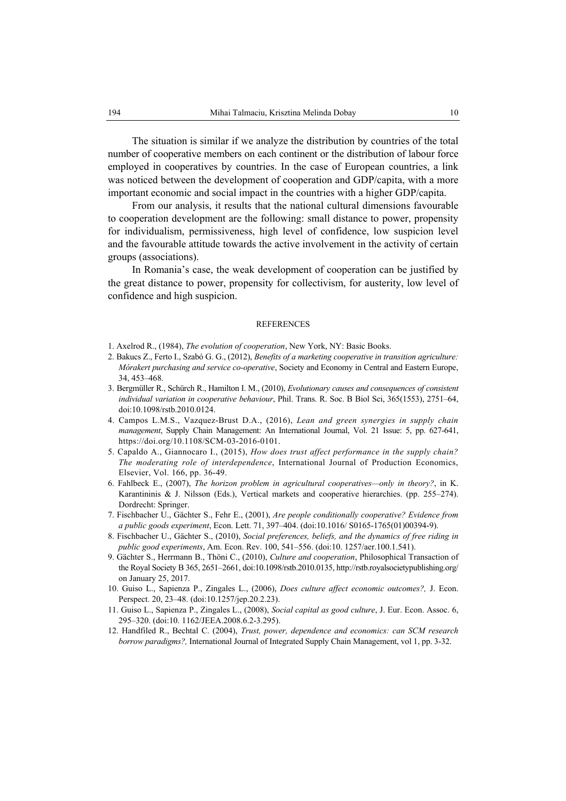The situation is similar if we analyze the distribution by countries of the total number of cooperative members on each continent or the distribution of labour force employed in cooperatives by countries. In the case of European countries, a link was noticed between the development of cooperation and GDP/capita, with a more important economic and social impact in the countries with a higher GDP/capita.

From our analysis, it results that the national cultural dimensions favourable to cooperation development are the following: small distance to power, propensity for individualism, permissiveness, high level of confidence, low suspicion level and the favourable attitude towards the active involvement in the activity of certain groups (associations).

In Romania's case, the weak development of cooperation can be justified by the great distance to power, propensity for collectivism, for austerity, low level of confidence and high suspicion.

#### REFERENCES

- 1. Axelrod R., (1984), *The evolution of cooperation*, New York, NY: Basic Books.
- 2. Bakucs Z., Ferto I., Szabó G. G., (2012), *Benefits of a marketing cooperative in transition agriculture: Mórakert purchasing and service co-operative*, Society and Economy in Central and Eastern Europe, 34, 453–468.
- 3. Bergmüller R., Schürch R., Hamilton I. M., (2010), *Evolutionary causes and consequences of consistent individual variation in cooperative behaviour*, Phil. Trans. R. Soc. B Biol Sci, 365(1553), 2751–64, doi:10.1098/rstb.2010.0124.
- 4. Campos L.M.S., Vazquez-Brust D.A., (2016), *Lean and green synergies in supply chain management*, Supply Chain Management: An International Journal, Vol. 21 Issue: 5, pp. 627-641, https://doi.org/10.1108/SCM-03-2016-0101.
- 5. Capaldo A., Giannocaro I., (2015), *How does trust affect performance in the supply chain? The moderating role of interdependence*, International Journal of Production Economics, Elsevier, Vol. 166, pp. 36-49.
- 6. Fahlbeck E., (2007), *The horizon problem in agricultural cooperatives—only in theory?*, in K. Karantininis & J. Nilsson (Eds.), Vertical markets and cooperative hierarchies. (pp. 255–274). Dordrecht: Springer.
- 7. Fischbacher U., Gächter S., Fehr E., (2001), *Are people conditionally cooperative? Evidence from a public goods experiment*, Econ. Lett. 71, 397–404. (doi:10.1016/ S0165-1765(01)00394-9).
- 8. Fischbacher U., Gächter S., (2010), *Social preferences, beliefs, and the dynamics of free riding in public good experiments*, Am. Econ. Rev. 100, 541–556. (doi:10. 1257/aer.100.1.541).
- 9. Gächter S., Herrmann B., Thöni C., (2010), *Culture and cooperation*, Philosophical Transaction of the Royal Society B 365, 2651–2661, doi:10.1098/rstb.2010.0135, http://rstb.royalsocietypublishing.org/ on January 25, 2017.
- 10. Guiso L., Sapienza P., Zingales L., (2006), *Does culture affect economic outcomes?,* J. Econ. Perspect. 20, 23–48. (doi:10.1257/jep.20.2.23).
- 11. Guiso L., Sapienza P., Zingales L., (2008), *Social capital as good culture*, J. Eur. Econ. Assoc. 6, 295–320. (doi:10. 1162/JEEA.2008.6.2-3.295).
- 12. Handfiled R., Bechtal C. (2004), *Trust, power, dependence and economics: can SCM research borrow paradigms?,* International Journal of Integrated Supply Chain Management, vol 1, pp. 3-32.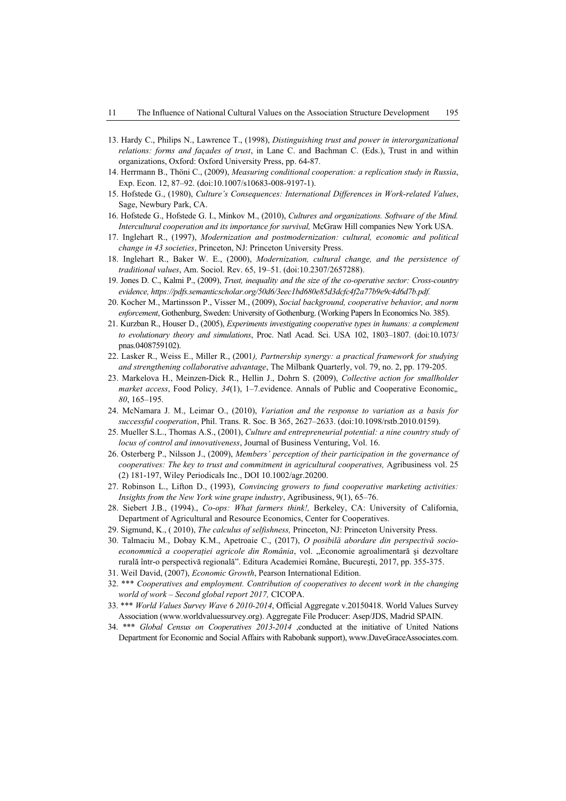- 13. Hardy C., Philips N., Lawrence T., (1998), *Distinguishing trust and power in interorganizational relations: forms and façades of trust*, in Lane C. and Bachman C. (Eds.), Trust in and within organizations, Oxford: Oxford University Press, pp. 64-87.
- 14. Herrmann B., Thöni C., (2009), *Measuring conditional cooperation: a replication study in Russia*, Exp. Econ. 12, 87–92. (doi:10.1007/s10683-008-9197-1).
- 15. Hofstede G., (1980), *Culture's Consequences: International Differences in Work-related Values*, Sage, Newbury Park, CA.
- 16. Hofstede G., Hofstede G. I., Minkov M., (2010), *Cultures and organizations. Software of the Mind. Intercultural cooperation and its importance for survival,* McGraw Hill companies New York USA.
- 17. Inglehart R., (1997), *Modernization and postmodernization: cultural, economic and political change in 43 societies*, Princeton, NJ: Princeton University Press.
- 18. Inglehart R., Baker W. E., (2000), *Modernization, cultural change, and the persistence of traditional values*, Am. Sociol. Rev. 65, 19–51. (doi:10.2307/2657288).
- 19. Jones D. C., Kalmi P., (2009), *Trust, inequality and the size of the co-operative sector: Cross-country evidence, https://pdfs.semanticscholar.org/50d6/3eec1bd680e85d3dcfc4f2a77b9e9c4d6d7b.pdf.*
- 20. Kocher M., Martinsson P., Visser M., (2009), *Social background, cooperative behavior, and norm enforcement*, Gothenburg, Sweden: University of Gothenburg. (Working Papers In Economics No. 385).
- 21. Kurzban R., Houser D., (2005), *Experiments investigating cooperative types in humans: a complement to evolutionary theory and simulations*, Proc. Natl Acad. Sci. USA 102, 1803–1807. (doi:10.1073/ pnas.0408759102).
- 22. Lasker R., Weiss E., Miller R., (2001*), Partnership synergy: a practical framework for studying and strengthening collaborative advantage*, The Milbank Quarterly, vol. 79, no. 2, pp. 179-205.
- 23. Markelova H., Meinzen-Dick R., Hellin J., Dohrn S. (2009), *Collective action for smallholder market access*, Food Policy*, 34*(1), 1–7.evidence. Annals of Public and Cooperative Economic,*, 80*, 165–195.
- 24. McNamara J. M., Leimar O., (2010), *Variation and the response to variation as a basis for successful cooperation*, Phil. Trans. R. Soc. B 365, 2627–2633. (doi:10.1098/rstb.2010.0159).
- 25. Mueller S.L., Thomas A.S., (2001), *Culture and entrepreneurial potential: a nine country study of locus of control and innovativeness*, Journal of Business Venturing, Vol. 16.
- 26. Osterberg P., Nilsson J., (2009), *Members' perception of their participation in the governance of cooperatives: The key to trust and commitment in agricultural cooperatives,* Agribusiness vol. 25 (2) 181-197, Wiley Periodicals Inc., DOI 10.1002/agr.20200.
- 27. Robinson L., Lifton D., (1993), *Convincing growers to fund cooperative marketing activities: Insights from the New York wine grape industry*, Agribusiness, 9(1), 65–76.
- 28. Siebert J.B., (1994)., *Co-ops: What farmers think!,* Berkeley, CA: University of California, Department of Agricultural and Resource Economics, Center for Cooperatives.
- 29. Sigmund, K., ( 2010), *The calculus of selfishness,* Princeton, NJ: Princeton University Press.
- 30. Talmaciu M., Dobay K.M., Apetroaie C., (2017), *O posibilă abordare din perspectivă socioeconommică a cooperaţiei agricole din România*, vol. "Economie agroalimentară şi dezvoltare rurală într-o perspectivă regională". Editura Academiei Române, Bucureşti, 2017, pp. 355-375.
- 31. Weil David, (2007), *Economic Growth*, Pearson International Edition.
- 32. \*\*\* *Cooperatives and employment. Contribution of cooperatives to decent work in the changing world of work – Second global report 2017,* CICOPA.
- 33. \*\*\* *World Values Survey Wave 6 2010-2014*, Official Aggregate v.20150418. World Values Survey Association (www.worldvaluessurvey.org). Aggregate File Producer: Asep/JDS, Madrid SPAIN.
- 34. \*\*\* *Global Census on Cooperatives 2013-2014* ,conducted at the initiative of United Nations Department for Economic and Social Affairs with Rabobank support), www.DaveGraceAssociates.com.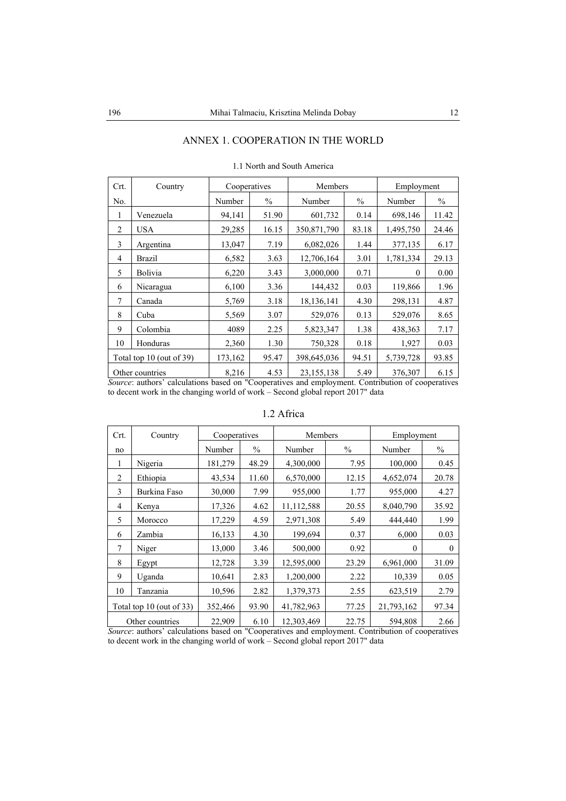## ANNEX 1. COOPERATION IN THE WORLD

| Crt. | Country                                                                                                   | Cooperatives |       | Members      |       | Employment   |               |
|------|-----------------------------------------------------------------------------------------------------------|--------------|-------|--------------|-------|--------------|---------------|
| No.  |                                                                                                           | Number       | $\%$  | Number       | $\%$  | Number       | $\frac{0}{0}$ |
| 1    | Venezuela                                                                                                 | 94,141       | 51.90 | 601,732      | 0.14  | 698,146      | 11.42         |
| 2    | <b>USA</b>                                                                                                | 29,285       | 16.15 | 350,871,790  | 83.18 | 1,495,750    | 24.46         |
| 3    | Argentina                                                                                                 | 13,047       | 7.19  | 6,082,026    | 1.44  | 377,135      | 6.17          |
| 4    | Brazil                                                                                                    | 6,582        | 3.63  | 12,706,164   | 3.01  | 1,781,334    | 29.13         |
| 5    | Bolivia                                                                                                   | 6,220        | 3.43  | 3,000,000    | 0.71  | $\mathbf{0}$ | 0.00          |
| 6    | Nicaragua                                                                                                 | 6,100        | 3.36  | 144,432      | 0.03  | 119,866      | 1.96          |
| 7    | Canada                                                                                                    | 5,769        | 3.18  | 18,136,141   | 4.30  | 298,131      | 4.87          |
| 8    | Cuba                                                                                                      | 5,569        | 3.07  | 529,076      | 0.13  | 529,076      | 8.65          |
| 9    | Colombia                                                                                                  | 4089         | 2.25  | 5,823,347    | 1.38  | 438,363      | 7.17          |
| 10   | Honduras                                                                                                  | 2,360        | 1.30  | 750,328      | 0.18  | 1,927        | 0.03          |
|      | Total top 10 (out of 39)                                                                                  | 173,162      | 95.47 | 398,645,036  | 94.51 | 5,739,728    | 93.85         |
|      | Other countries<br>Course outletes, relative head on Committee and numbers and Contribution of commentary | 8,216        | 4.53  | 23, 155, 138 | 5.49  | 376,307      | 6.15          |

#### 1.1 North and South America

*Source*: authors' calculations based on "Cooperatives and employment. Contribution of cooperatives to decent work in the changing world of work – Second global report 2017" data

| Crt.           | Country                  | Cooperatives |               | Members    |               | Employment   |               |
|----------------|--------------------------|--------------|---------------|------------|---------------|--------------|---------------|
| no             |                          | Number       | $\frac{0}{0}$ | Number     | $\frac{0}{0}$ | Number       | $\frac{0}{0}$ |
| 1              | Nigeria                  | 181,279      | 48.29         | 4,300,000  | 7.95          | 100,000      | 0.45          |
| 2              | Ethiopia                 | 43,534       | 11.60         | 6,570,000  | 12.15         | 4,652,074    | 20.78         |
| 3              | Burkina Faso             | 30,000       | 7.99          | 955,000    | 1.77          | 955,000      | 4.27          |
| $\overline{4}$ | Kenya                    | 17,326       | 4.62          | 11,112,588 | 20.55         | 8,040,790    | 35.92         |
| 5              | Morocco                  | 17,229       | 4.59          | 2,971,308  | 5.49          | 444,440      | 1.99          |
| 6              | Zambia                   | 16,133       | 4.30          | 199,694    | 0.37          | 6,000        | 0.03          |
| 7              | Niger                    | 13,000       | 3.46          | 500,000    | 0.92          | $\mathbf{0}$ | $\mathbf{0}$  |
| 8              | Egypt                    | 12,728       | 3.39          | 12,595,000 | 23.29         | 6,961,000    | 31.09         |
| 9              | Uganda                   | 10,641       | 2.83          | 1,200,000  | 2.22          | 10,339       | 0.05          |
| 10             | Tanzania                 | 10,596       | 2.82          | 1,379,373  | 2.55          | 623,519      | 2.79          |
|                | Total top 10 (out of 33) | 352,466      | 93.90         | 41,782,963 | 77.25         | 21,793,162   | 97.34         |
|                | Other countries          | 22,909       | 6.10          | 12,303,469 | 22.75         | 594,808      | 2.66          |

### 1.2 Africa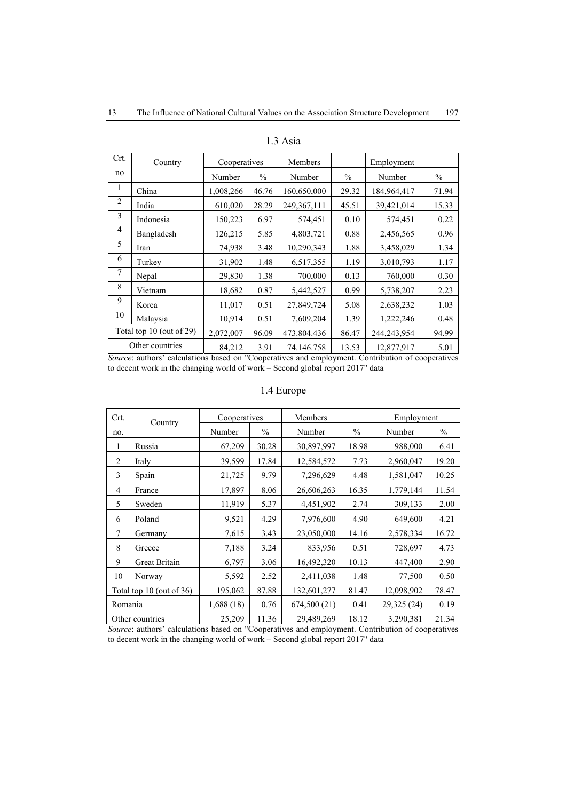| Crt.           | Country                     | Cooperatives |               | Members     |               | Employment  |               |
|----------------|-----------------------------|--------------|---------------|-------------|---------------|-------------|---------------|
| no             |                             | Number       | $\frac{0}{0}$ | Number      | $\frac{0}{0}$ | Number      | $\frac{0}{0}$ |
| 1              | China                       | 1,008,266    | 46.76         | 160,650,000 | 29.32         | 184,964,417 | 71.94         |
| $\overline{2}$ | India                       | 610,020      | 28.29         | 249,367,111 | 45.51         | 39,421,014  | 15.33         |
| 3              | Indonesia                   | 150,223      | 6.97          | 574,451     | 0.10          | 574,451     | 0.22          |
| $\overline{4}$ | Bangladesh                  | 126,215      | 5.85          | 4,803,721   | 0.88          | 2,456,565   | 0.96          |
| 5              | Iran                        | 74,938       | 3.48          | 10,290,343  | 1.88          | 3,458,029   | 1.34          |
| 6              | Turkey                      | 31,902       | 1.48          | 6,517,355   | 1.19          | 3,010,793   | 1.17          |
| 7              | Nepal                       | 29,830       | 1.38          | 700,000     | 0.13          | 760,000     | 0.30          |
| 8              | Vietnam                     | 18,682       | 0.87          | 5,442,527   | 0.99          | 5,738,207   | 2.23          |
| 9              | Korea                       | 11,017       | 0.51          | 27,849,724  | 5.08          | 2,638,232   | 1.03          |
| 10             | Malaysia                    | 10,914       | 0.51          | 7,609,204   | 1.39          | 1,222,246   | 0.48          |
|                | Total top 10 (out of $29$ ) | 2,072,007    | 96.09         | 473.804.436 | 86.47         | 244,243,954 | 94.99         |
|                | Other countries             | 84,212       | 3.91          | 74.146.758  | 13.53         | 12,877,917  | 5.01          |

1.3 Asia

*Source*: authors' calculations based on "Cooperatives and employment. Contribution of cooperatives to decent work in the changing world of work – Second global report 2017" data

## 1.4 Europe

| Crt.    | Country                     | Cooperatives |               | Members      |               | Employment  |               |
|---------|-----------------------------|--------------|---------------|--------------|---------------|-------------|---------------|
| no.     |                             | Number       | $\frac{0}{0}$ | Number       | $\frac{0}{0}$ | Number      | $\frac{0}{0}$ |
| 1       | Russia                      | 67,209       | 30.28         | 30,897,997   | 18.98         | 988,000     | 6.41          |
| 2       | Italy                       | 39,599       | 17.84         | 12,584,572   | 7.73          | 2,960,047   | 19.20         |
| 3       | Spain                       | 21,725       | 9.79          | 7,296,629    | 4.48          | 1,581,047   | 10.25         |
| 4       | France                      | 17,897       | 8.06          | 26,606,263   | 16.35         | 1,779,144   | 11.54         |
| 5       | Sweden                      | 11,919       | 5.37          | 4,451,902    | 2.74          | 309,133     | 2.00          |
| 6       | Poland                      | 9,521        | 4.29          | 7,976,600    | 4.90          | 649,600     | 4.21          |
| 7       | Germany                     | 7,615        | 3.43          | 23,050,000   | 14.16         | 2,578,334   | 16.72         |
| 8       | Greece                      | 7.188        | 3.24          | 833,956      | 0.51          | 728,697     | 4.73          |
| 9       | Great Britain               | 6,797        | 3.06          | 16,492,320   | 10.13         | 447,400     | 2.90          |
| 10      | Norway                      | 5,592        | 2.52          | 2,411,038    | 1.48          | 77,500      | 0.50          |
|         | Total top 10 (out of $36$ ) | 195,062      | 87.88         | 132,601,277  | 81.47         | 12,098,902  | 78.47         |
| Romania |                             | 1,688 (18)   | 0.76          | 674,500 (21) | 0.41          | 29,325 (24) | 0.19          |
|         | Other countries             | 25,209       | 11.36         | 29,489,269   | 18.12         | 3,290,381   | 21.34         |